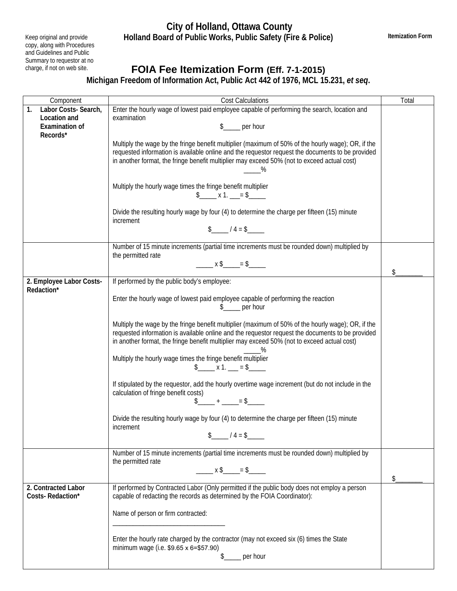## **City of Holland, Ottawa County Holland Board of Public Works, Public Safety (Fire & Police)**

Keep original and provide copy, along with Procedures and Guidelines and Public Summary to requestor at no charge, if not on web site.

## **FOIA Fee Itemization Form (Eff. 7-1-2015)**

**Michigan Freedom of Information Act, Public Act 442 of 1976, MCL 15.231,** *et seq***.** 

| Component                              | <b>Cost Calculations</b>                                                                                                          | Total |
|----------------------------------------|-----------------------------------------------------------------------------------------------------------------------------------|-------|
| 1.<br>Labor Costs-Search,              | Enter the hourly wage of lowest paid employee capable of performing the search, location and                                      |       |
| Location and                           | examination                                                                                                                       |       |
| <b>Examination of</b>                  | $s$ <sub>____</sub> per hour                                                                                                      |       |
| Records*                               |                                                                                                                                   |       |
|                                        | Multiply the wage by the fringe benefit multiplier (maximum of 50% of the hourly wage); OR, if the                                |       |
|                                        | requested information is available online and the requestor request the documents to be provided                                  |       |
|                                        | in another format, the fringe benefit multiplier may exceed 50% (not to exceed actual cost)                                       |       |
|                                        | $\%$                                                                                                                              |       |
|                                        |                                                                                                                                   |       |
|                                        | Multiply the hourly wage times the fringe benefit multiplier                                                                      |       |
|                                        | $$$ x 1. = \$                                                                                                                     |       |
|                                        |                                                                                                                                   |       |
|                                        | Divide the resulting hourly wage by four (4) to determine the charge per fifteen (15) minute                                      |       |
|                                        | increment                                                                                                                         |       |
|                                        | $\frac{1}{2}$ / 4 = \$                                                                                                            |       |
|                                        |                                                                                                                                   |       |
|                                        | Number of 15 minute increments (partial time increments must be rounded down) multiplied by                                       |       |
|                                        | the permitted rate                                                                                                                |       |
|                                        | $\frac{1}{2}$ x \$ _____ = \$ ________                                                                                            |       |
|                                        |                                                                                                                                   | \$    |
| 2. Employee Labor Costs-<br>Redaction* | If performed by the public body's employee:                                                                                       |       |
|                                        | Enter the hourly wage of lowest paid employee capable of performing the reaction                                                  |       |
|                                        | per hour                                                                                                                          |       |
|                                        |                                                                                                                                   |       |
|                                        | Multiply the wage by the fringe benefit multiplier (maximum of 50% of the hourly wage); OR, if the                                |       |
|                                        | requested information is available online and the requestor request the documents to be provided                                  |       |
|                                        | in another format, the fringe benefit multiplier may exceed 50% (not to exceed actual cost)                                       |       |
|                                        |                                                                                                                                   |       |
|                                        | Multiply the hourly wage times the fringe benefit multiplier                                                                      |       |
|                                        | $\frac{1}{2}$ x 1. __ = \$_____                                                                                                   |       |
|                                        |                                                                                                                                   |       |
|                                        | If stipulated by the requestor, add the hourly overtime wage increment (but do not include in the                                 |       |
|                                        | calculation of fringe benefit costs)                                                                                              |       |
|                                        | $\frac{1}{2}$ + $\frac{1}{2}$ = $\frac{1}{2}$                                                                                     |       |
|                                        |                                                                                                                                   |       |
|                                        | Divide the resulting hourly wage by four (4) to determine the charge per fifteen (15) minute                                      |       |
|                                        | increment<br>$\frac{1}{2}$ / 4 = \$                                                                                               |       |
|                                        |                                                                                                                                   |       |
|                                        | Number of 15 minute increments (partial time increments must be rounded down) multiplied by                                       |       |
|                                        | the permitted rate                                                                                                                |       |
|                                        | $\frac{1}{2}$ x \$ _____ = \$ ______                                                                                              |       |
|                                        |                                                                                                                                   | \$.   |
| 2. Contracted Labor                    | If performed by Contracted Labor (Only permitted if the public body does not employ a person                                      |       |
| Costs-Redaction*                       | capable of redacting the records as determined by the FOIA Coordinator):                                                          |       |
|                                        |                                                                                                                                   |       |
|                                        | Name of person or firm contracted:                                                                                                |       |
|                                        |                                                                                                                                   |       |
|                                        |                                                                                                                                   |       |
|                                        | Enter the hourly rate charged by the contractor (may not exceed six (6) times the State<br>minimum wage (i.e. \$9.65 x 6=\$57.90) |       |
|                                        | per hour<br>\$                                                                                                                    |       |
|                                        |                                                                                                                                   |       |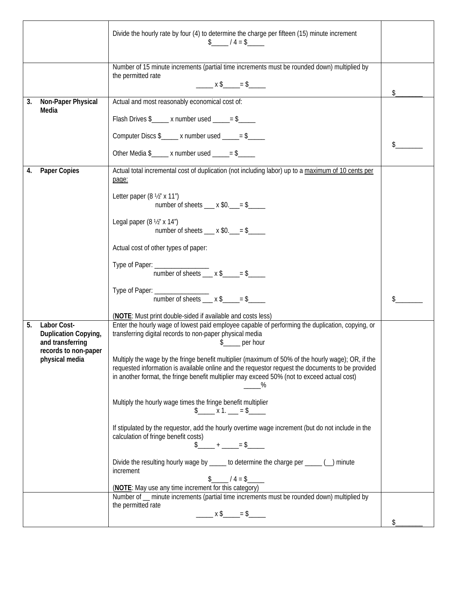|    |                                                                                                   | Divide the hourly rate by four (4) to determine the charge per fifteen (15) minute increment<br>$\frac{1}{2}$ / 4 = \$                                                                                                                                                                                                                                                                                                                                                                     |    |
|----|---------------------------------------------------------------------------------------------------|--------------------------------------------------------------------------------------------------------------------------------------------------------------------------------------------------------------------------------------------------------------------------------------------------------------------------------------------------------------------------------------------------------------------------------------------------------------------------------------------|----|
|    |                                                                                                   | Number of 15 minute increments (partial time increments must be rounded down) multiplied by<br>the permitted rate                                                                                                                                                                                                                                                                                                                                                                          | \$ |
| 3. | Non-Paper Physical<br>Media                                                                       | Actual and most reasonably economical cost of:<br>Flash Drives $\frac{1}{2}$ x number used ____= $\frac{1}{2}$                                                                                                                                                                                                                                                                                                                                                                             |    |
|    |                                                                                                   | Computer Discs \$_____ x number used _____= \$____<br>Other Media $\frac{1}{2}$ x number used _____= \$_____                                                                                                                                                                                                                                                                                                                                                                               |    |
| 4. | Paper Copies                                                                                      | Actual total incremental cost of duplication (not including labor) up to a maximum of 10 cents per<br>page:<br>Letter paper $(8 \frac{1}{2} \times 11^{\circ})$<br>number of sheets $\_\_\ x \$ 0. $\_\_\ = \$                                                                                                                                                                                                                                                                             |    |
|    |                                                                                                   | Legal paper (8 1/2" x 14")<br>number of sheets ___ x $0.$ __ = $2$ ____<br>Actual cost of other types of paper:                                                                                                                                                                                                                                                                                                                                                                            |    |
|    |                                                                                                   | Type of Paper: _________________<br>number of sheets $\_\ x \$                                                                                                                                                                                                                                                                                                                                                                                                                             |    |
|    |                                                                                                   | Type of Paper: $\frac{1}{\text{number of sheets}}$ x \$ ______ = \$<br>(NOTE: Must print double-sided if available and costs less)                                                                                                                                                                                                                                                                                                                                                         |    |
| 5. | Labor Cost-<br>Duplication Copying,<br>and transferring<br>records to non-paper<br>physical media | Enter the hourly wage of lowest paid employee capable of performing the duplication, copying, or<br>transferring digital records to non-paper physical media<br>per hour<br>Multiply the wage by the fringe benefit multiplier (maximum of 50% of the hourly wage); OR, if the<br>requested information is available online and the requestor request the documents to be provided<br>in another format, the fringe benefit multiplier may exceed 50% (not to exceed actual cost)<br>$-\%$ |    |
|    |                                                                                                   | Multiply the hourly wage times the fringe benefit multiplier<br>$\frac{1}{2}$ x 1. __ = \$_____<br>If stipulated by the requestor, add the hourly overtime wage increment (but do not include in the                                                                                                                                                                                                                                                                                       |    |
|    |                                                                                                   | calculation of fringe benefit costs)<br>$\frac{1}{2}$ + ____ = \$________<br>Divide the resulting hourly wage by _____ to determine the charge per _____ (_) minute<br>increment<br>$\frac{1}{2}$ / 4 = \$<br>(NOTE: May use any time increment for this category)                                                                                                                                                                                                                         |    |
|    |                                                                                                   | Number of _ minute increments (partial time increments must be rounded down) multiplied by<br>the permitted rate                                                                                                                                                                                                                                                                                                                                                                           |    |